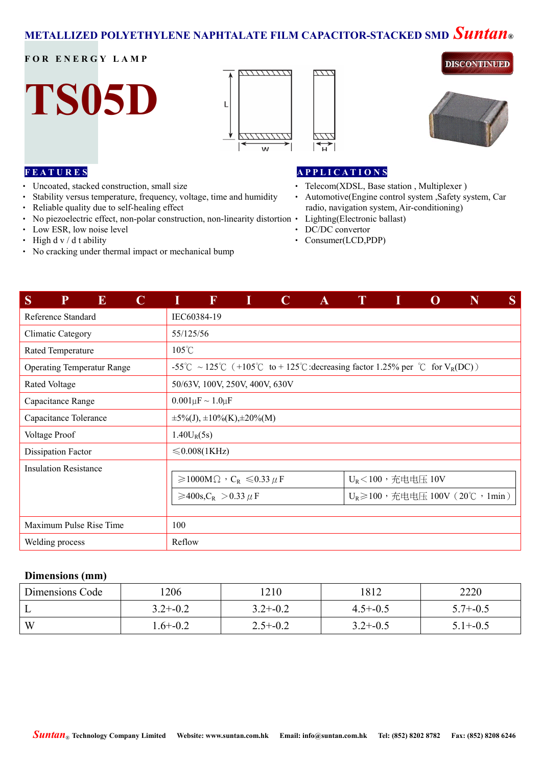# **METALLIZED POLYETHYLENE NAPHTALATE FILM CAPACITOR-STACKED SMD** *Suntan***®**

# **FOR ENERGY LAMP**







**DISCONTINUED** 

## **F E A T U R E S**

- ‧ Uncoated, stacked construction, small size
- Stability versus temperature, frequency, voltage, time and humidity Automotive(Engine control system ,Safety system, Car
- ‧ Reliable quality due to self-healing effect
- No piezoelectric effect, non-polar construction, non-linearity distortion •
- Low ESR, low noise level **•** DC/DC convertor
- High d v / d t ability **•** Consumer(LCD,PDP)
- ‧ No cracking under thermal impact or mechanical bump

#### **A P P L I C A T I O N S**

- Telecom(XDSL, Base station, Multiplexer)
- radio, navigation system, Air-conditioning)
- Lighting(Electronic ballast)
- 
- 

| S<br>P<br>E<br>$\mathbf C$        | F                                                                                 | I | $\mathbf C$ | $\mathbf{A}$ | $\mathbf{T}$ |                     |                                         | N | S |
|-----------------------------------|-----------------------------------------------------------------------------------|---|-------------|--------------|--------------|---------------------|-----------------------------------------|---|---|
| Reference Standard                | IEC60384-19                                                                       |   |             |              |              |                     |                                         |   |   |
| <b>Climatic Category</b>          | 55/125/56                                                                         |   |             |              |              |                     |                                         |   |   |
| Rated Temperature                 | $105^{\circ}$ C                                                                   |   |             |              |              |                     |                                         |   |   |
| <b>Operating Temperatur Range</b> | -55°C ~ 125°C (+105°C to + 125°C : decreasing factor 1.25% per °C for $V_R(DC)$ ) |   |             |              |              |                     |                                         |   |   |
| Rated Voltage                     | 50/63V, 100V, 250V, 400V, 630V                                                    |   |             |              |              |                     |                                         |   |   |
| Capacitance Range                 | $0.001 \mu F \sim 1.0 \mu F$                                                      |   |             |              |              |                     |                                         |   |   |
| Capacitance Tolerance             | $\pm 5\%$ (J), $\pm 10\%$ (K), $\pm 20\%$ (M)                                     |   |             |              |              |                     |                                         |   |   |
| Voltage Proof                     | $1.40U_R(5s)$                                                                     |   |             |              |              |                     |                                         |   |   |
| Dissipation Factor                | $\leq 0.008(1$ KHz)                                                               |   |             |              |              |                     |                                         |   |   |
| <b>Insulation Resistance</b>      |                                                                                   |   |             |              |              |                     |                                         |   |   |
|                                   | $\geqslant$ 1000M $\Omega$ , $C_R \leqslant$ 0.33 $\mu$ F                         |   |             |              |              | $U_R$ <100,充电电压 10V |                                         |   |   |
|                                   | ≥400s, C <sub>R</sub> > 0.33 µ F                                                  |   |             |              |              |                     | $U_R \geq 100$ , 充电电压 100V (20°C, 1min) |   |   |
|                                   |                                                                                   |   |             |              |              |                     |                                         |   |   |
| Maximum Pulse Rise Time           | 100                                                                               |   |             |              |              |                     |                                         |   |   |
| Welding process                   | Reflow                                                                            |   |             |              |              |                     |                                         |   |   |

# **Dimensions (mm)**

| Dimensions Code | '206         | !210         | 1812         | 2220         |
|-----------------|--------------|--------------|--------------|--------------|
|                 | $3.2 + -0.2$ | $3.2 + -0.2$ | $4.5 + -0.5$ | $5.7 + -0.5$ |
| W               | $1.6 + -0.2$ | $2.5 + -0.2$ | $3.2 + -0.5$ | $5.1 + -0.5$ |